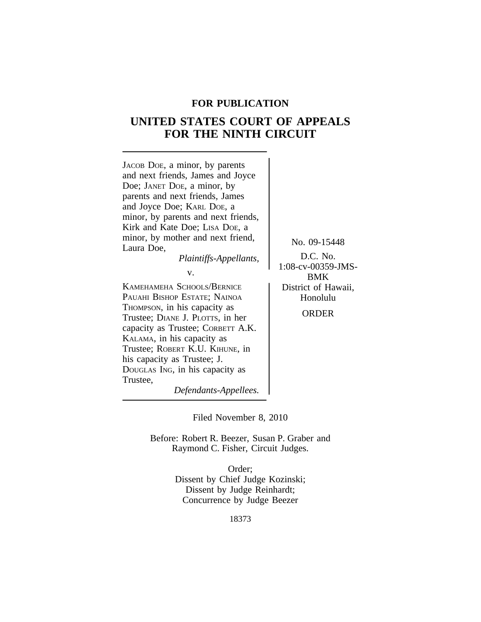## **FOR PUBLICATION**

# **UNITED STATES COURT OF APPEALS FOR THE NINTH CIRCUIT**



*Defendants-Appellees.*

Filed November 8, 2010

Before: Robert R. Beezer, Susan P. Graber and Raymond C. Fisher, Circuit Judges.

> Order; Dissent by Chief Judge Kozinski; Dissent by Judge Reinhardt; Concurrence by Judge Beezer

> > 18373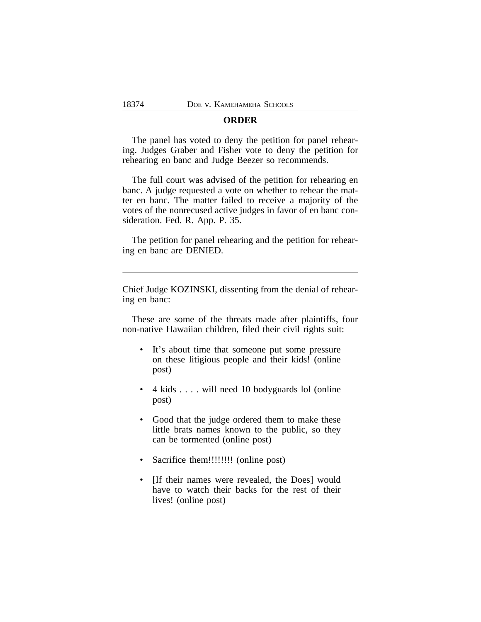## **ORDER**

The panel has voted to deny the petition for panel rehearing. Judges Graber and Fisher vote to deny the petition for rehearing en banc and Judge Beezer so recommends.

The full court was advised of the petition for rehearing en banc. A judge requested a vote on whether to rehear the matter en banc. The matter failed to receive a majority of the votes of the nonrecused active judges in favor of en banc consideration. Fed. R. App. P. 35.

The petition for panel rehearing and the petition for rehearing en banc are DENIED.

Chief Judge KOZINSKI, dissenting from the denial of rehearing en banc:

These are some of the threats made after plaintiffs, four non-native Hawaiian children, filed their civil rights suit:

- It's about time that someone put some pressure on these litigious people and their kids! (online post)
- 4 kids . . . . will need 10 bodyguards lol (online post)
- Good that the judge ordered them to make these little brats names known to the public, so they can be tormented (online post)
- Sacrifice them!!!!!!!!! (online post)
- [If their names were revealed, the Does] would have to watch their backs for the rest of their lives! (online post)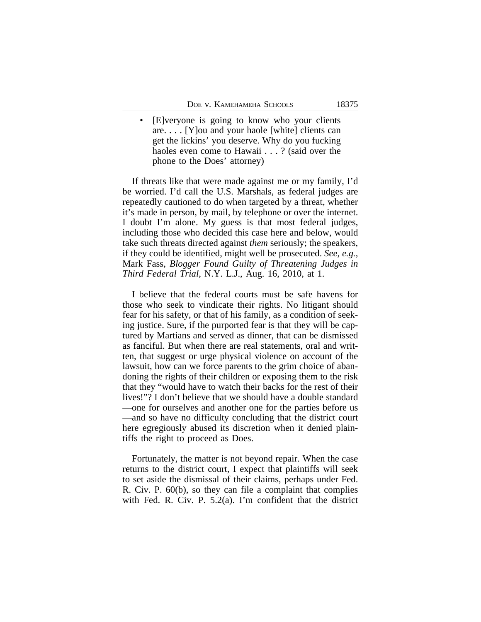• [E]veryone is going to know who your clients are. . . . [Y]ou and your haole [white] clients can get the lickins' you deserve. Why do you fucking haoles even come to Hawaii . . . ? (said over the phone to the Does' attorney)

If threats like that were made against me or my family, I'd be worried. I'd call the U.S. Marshals, as federal judges are repeatedly cautioned to do when targeted by a threat, whether it's made in person, by mail, by telephone or over the internet. I doubt I'm alone. My guess is that most federal judges, including those who decided this case here and below, would take such threats directed against *them* seriously; the speakers, if they could be identified, might well be prosecuted. *See, e.g.*, Mark Fass, *Blogger Found Guilty of Threatening Judges in Third Federal Trial*, N.Y. L.J., Aug. 16, 2010, at 1.

I believe that the federal courts must be safe havens for those who seek to vindicate their rights. No litigant should fear for his safety, or that of his family, as a condition of seeking justice. Sure, if the purported fear is that they will be captured by Martians and served as dinner, that can be dismissed as fanciful. But when there are real statements, oral and written, that suggest or urge physical violence on account of the lawsuit, how can we force parents to the grim choice of abandoning the rights of their children or exposing them to the risk that they "would have to watch their backs for the rest of their lives!"? I don't believe that we should have a double standard —one for ourselves and another one for the parties before us —and so have no difficulty concluding that the district court here egregiously abused its discretion when it denied plaintiffs the right to proceed as Does.

Fortunately, the matter is not beyond repair. When the case returns to the district court, I expect that plaintiffs will seek to set aside the dismissal of their claims, perhaps under Fed. R. Civ. P. 60(b), so they can file a complaint that complies with Fed. R. Civ. P. 5.2(a). I'm confident that the district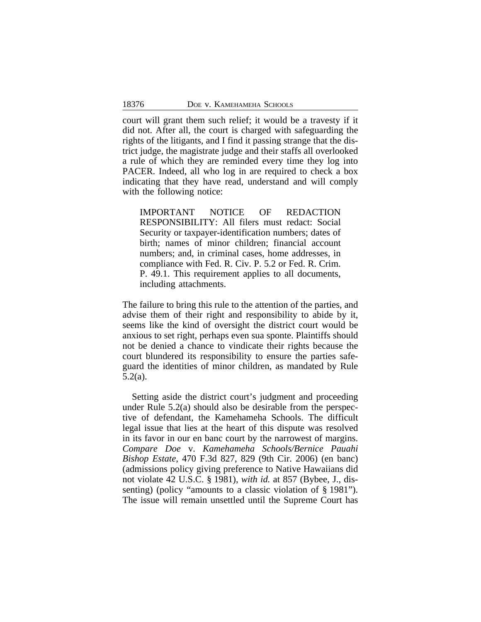court will grant them such relief; it would be a travesty if it did not. After all, the court is charged with safeguarding the rights of the litigants, and I find it passing strange that the district judge, the magistrate judge and their staffs all overlooked a rule of which they are reminded every time they log into PACER. Indeed, all who log in are required to check a box indicating that they have read, understand and will comply with the following notice:

IMPORTANT NOTICE OF REDACTION RESPONSIBILITY: All filers must redact: Social Security or taxpayer-identification numbers; dates of birth; names of minor children; financial account numbers; and, in criminal cases, home addresses, in compliance with Fed. R. Civ. P. 5.2 or Fed. R. Crim. P. 49.1. This requirement applies to all documents, including attachments.

The failure to bring this rule to the attention of the parties, and advise them of their right and responsibility to abide by it, seems like the kind of oversight the district court would be anxious to set right, perhaps even sua sponte. Plaintiffs should not be denied a chance to vindicate their rights because the court blundered its responsibility to ensure the parties safeguard the identities of minor children, as mandated by Rule 5.2(a).

Setting aside the district court's judgment and proceeding under Rule 5.2(a) should also be desirable from the perspective of defendant, the Kamehameha Schools. The difficult legal issue that lies at the heart of this dispute was resolved in its favor in our en banc court by the narrowest of margins. *Compare Doe* v. *Kamehameha Schools/Bernice Pauahi Bishop Estate*, 470 F.3d 827, 829 (9th Cir. 2006) (en banc) (admissions policy giving preference to Native Hawaiians did not violate 42 U.S.C. § 1981), *with id.* at 857 (Bybee, J., dissenting) (policy "amounts to a classic violation of § 1981"). The issue will remain unsettled until the Supreme Court has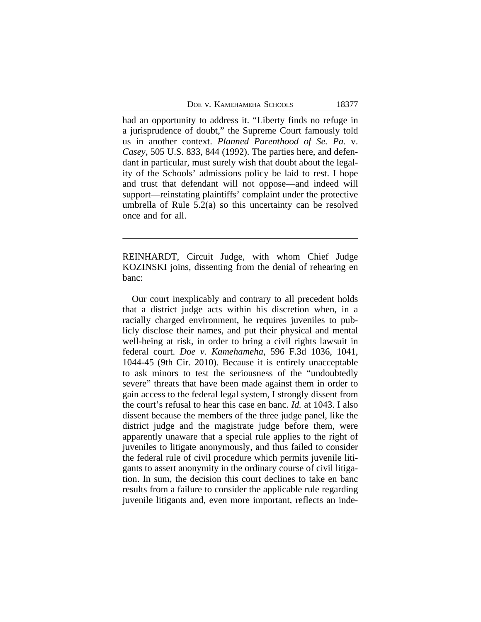DOE V. KAMEHAMEHA SCHOOLS 18377

had an opportunity to address it. "Liberty finds no refuge in a jurisprudence of doubt," the Supreme Court famously told us in another context. *Planned Parenthood of Se. Pa.* v. *Casey*, 505 U.S. 833, 844 (1992). The parties here, and defendant in particular, must surely wish that doubt about the legality of the Schools' admissions policy be laid to rest. I hope and trust that defendant will not oppose—and indeed will support—reinstating plaintiffs' complaint under the protective umbrella of Rule 5.2(a) so this uncertainty can be resolved once and for all.

REINHARDT, Circuit Judge, with whom Chief Judge KOZINSKI joins, dissenting from the denial of rehearing en banc:

Our court inexplicably and contrary to all precedent holds that a district judge acts within his discretion when, in a racially charged environment, he requires juveniles to publicly disclose their names, and put their physical and mental well-being at risk, in order to bring a civil rights lawsuit in federal court. *Doe v. Kamehameha*, 596 F.3d 1036, 1041, 1044-45 (9th Cir. 2010). Because it is entirely unacceptable to ask minors to test the seriousness of the "undoubtedly severe" threats that have been made against them in order to gain access to the federal legal system, I strongly dissent from the court's refusal to hear this case en banc. *Id.* at 1043. I also dissent because the members of the three judge panel, like the district judge and the magistrate judge before them, were apparently unaware that a special rule applies to the right of juveniles to litigate anonymously, and thus failed to consider the federal rule of civil procedure which permits juvenile litigants to assert anonymity in the ordinary course of civil litigation. In sum, the decision this court declines to take en banc results from a failure to consider the applicable rule regarding juvenile litigants and, even more important, reflects an inde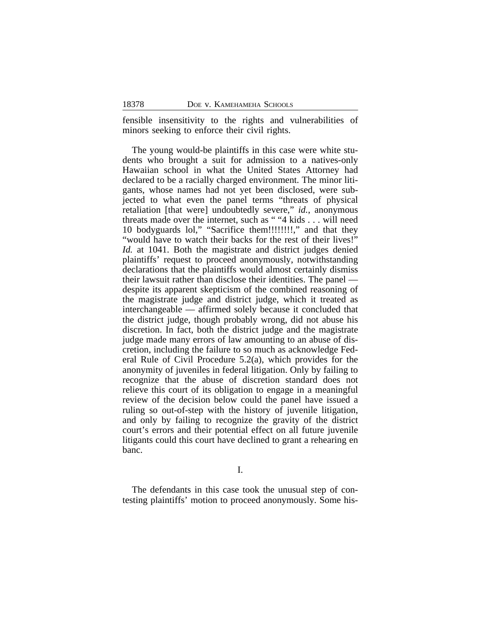fensible insensitivity to the rights and vulnerabilities of minors seeking to enforce their civil rights.

The young would-be plaintiffs in this case were white students who brought a suit for admission to a natives-only Hawaiian school in what the United States Attorney had declared to be a racially charged environment. The minor litigants, whose names had not yet been disclosed, were subjected to what even the panel terms "threats of physical retaliation [that were] undoubtedly severe," *id.*, anonymous threats made over the internet, such as " "4 kids . . . will need 10 bodyguards lol," "Sacrifice them!!!!!!!!," and that they "would have to watch their backs for the rest of their lives!" *Id.* at 1041. Both the magistrate and district judges denied plaintiffs' request to proceed anonymously, notwithstanding declarations that the plaintiffs would almost certainly dismiss their lawsuit rather than disclose their identities. The panel despite its apparent skepticism of the combined reasoning of the magistrate judge and district judge, which it treated as interchangeable — affirmed solely because it concluded that the district judge, though probably wrong, did not abuse his discretion. In fact, both the district judge and the magistrate judge made many errors of law amounting to an abuse of discretion, including the failure to so much as acknowledge Federal Rule of Civil Procedure 5.2(a), which provides for the anonymity of juveniles in federal litigation. Only by failing to recognize that the abuse of discretion standard does not relieve this court of its obligation to engage in a meaningful review of the decision below could the panel have issued a ruling so out-of-step with the history of juvenile litigation, and only by failing to recognize the gravity of the district court's errors and their potential effect on all future juvenile litigants could this court have declined to grant a rehearing en banc.

I.

The defendants in this case took the unusual step of contesting plaintiffs' motion to proceed anonymously. Some his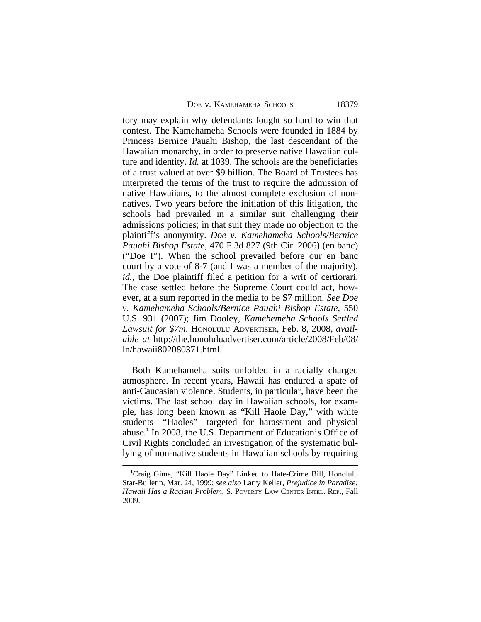DOE V. KAMEHAMEHA SCHOOLS 18379

tory may explain why defendants fought so hard to win that contest. The Kamehameha Schools were founded in 1884 by Princess Bernice Pauahi Bishop, the last descendant of the Hawaiian monarchy, in order to preserve native Hawaiian culture and identity. *Id.* at 1039. The schools are the beneficiaries of a trust valued at over \$9 billion. The Board of Trustees has interpreted the terms of the trust to require the admission of native Hawaiians, to the almost complete exclusion of nonnatives. Two years before the initiation of this litigation, the schools had prevailed in a similar suit challenging their admissions policies; in that suit they made no objection to the plaintiff's anonymity. *Doe v. Kamehameha Schools/Bernice Pauahi Bishop Estate*, 470 F.3d 827 (9th Cir. 2006) (en banc) ("Doe I"). When the school prevailed before our en banc court by a vote of 8-7 (and I was a member of the majority), *id.*, the Doe plaintiff filed a petition for a writ of certiorari. The case settled before the Supreme Court could act, however, at a sum reported in the media to be \$7 million. *See Doe v. Kamehameha Schools/Bernice Pauahi Bishop Estate*, 550 U.S. 931 (2007); Jim Dooley, *Kamehemeha Schools Settled Lawsuit for \$7m*, HONOLULU ADVERTISER, Feb. 8, 2008, *available at* http://the.honoluluadvertiser.com/article/2008/Feb/08/ ln/hawaii802080371.html.

Both Kamehameha suits unfolded in a racially charged atmosphere. In recent years, Hawaii has endured a spate of anti-Caucasian violence. Students, in particular, have been the victims. The last school day in Hawaiian schools, for example, has long been known as "Kill Haole Day," with white students—"Haoles"—targeted for harassment and physical abuse.<sup>1</sup> In 2008, the U.S. Department of Education's Office of Civil Rights concluded an investigation of the systematic bullying of non-native students in Hawaiian schools by requiring

**<sup>1</sup>**Craig Gima, "Kill Haole Day" Linked to Hate-Crime Bill, Honolulu Star-Bulletin, Mar. 24, 1999; *see also* Larry Keller, *Prejudice in Paradise: Hawaii Has a Racism Problem*, S. POVERTY LAW CENTER INTEL. REP., Fall 2009.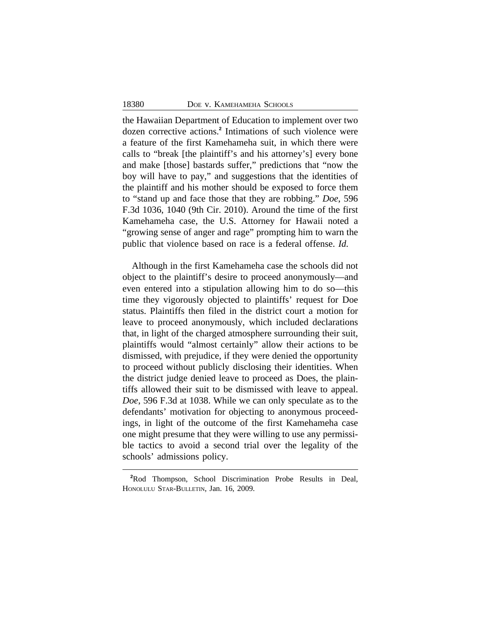the Hawaiian Department of Education to implement over two dozen corrective actions.**<sup>2</sup>** Intimations of such violence were a feature of the first Kamehameha suit, in which there were calls to "break [the plaintiff's and his attorney's] every bone and make [those] bastards suffer," predictions that "now the boy will have to pay," and suggestions that the identities of the plaintiff and his mother should be exposed to force them to "stand up and face those that they are robbing." *Doe*, 596 F.3d 1036, 1040 (9th Cir. 2010). Around the time of the first Kamehameha case, the U.S. Attorney for Hawaii noted a "growing sense of anger and rage" prompting him to warn the public that violence based on race is a federal offense. *Id.*

Although in the first Kamehameha case the schools did not object to the plaintiff's desire to proceed anonymously—and even entered into a stipulation allowing him to do so—this time they vigorously objected to plaintiffs' request for Doe status. Plaintiffs then filed in the district court a motion for leave to proceed anonymously, which included declarations that, in light of the charged atmosphere surrounding their suit, plaintiffs would "almost certainly" allow their actions to be dismissed, with prejudice, if they were denied the opportunity to proceed without publicly disclosing their identities. When the district judge denied leave to proceed as Does, the plaintiffs allowed their suit to be dismissed with leave to appeal. *Doe*, 596 F.3d at 1038. While we can only speculate as to the defendants' motivation for objecting to anonymous proceedings, in light of the outcome of the first Kamehameha case one might presume that they were willing to use any permissible tactics to avoid a second trial over the legality of the schools' admissions policy.

**<sup>2</sup>**Rod Thompson, School Discrimination Probe Results in Deal, HONOLULU STAR-BULLETIN, Jan. 16, 2009.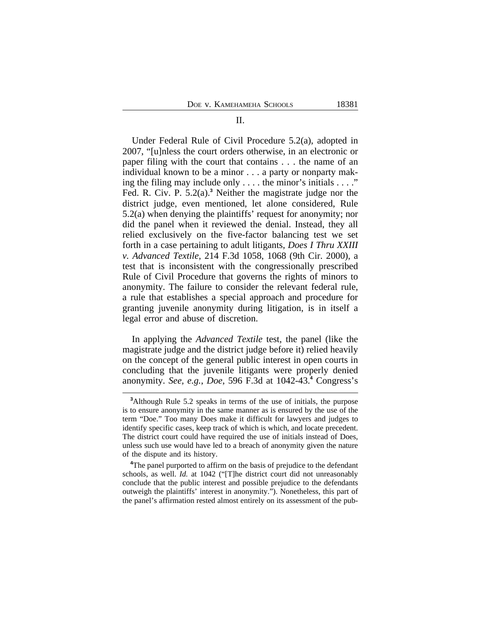Under Federal Rule of Civil Procedure 5.2(a), adopted in 2007, "[u]nless the court orders otherwise, in an electronic or paper filing with the court that contains . . . the name of an individual known to be a minor . . . a party or nonparty making the filing may include only . . . . the minor's initials . . . ." Fed. R. Civ. P. 5.2(a).**<sup>3</sup>** Neither the magistrate judge nor the district judge, even mentioned, let alone considered, Rule 5.2(a) when denying the plaintiffs' request for anonymity; nor did the panel when it reviewed the denial. Instead, they all relied exclusively on the five-factor balancing test we set forth in a case pertaining to adult litigants, *Does I Thru XXIII v. Advanced Textile*, 214 F.3d 1058, 1068 (9th Cir. 2000), a test that is inconsistent with the congressionally prescribed Rule of Civil Procedure that governs the rights of minors to anonymity. The failure to consider the relevant federal rule, a rule that establishes a special approach and procedure for granting juvenile anonymity during litigation, is in itself a legal error and abuse of discretion.

In applying the *Advanced Textile* test, the panel (like the magistrate judge and the district judge before it) relied heavily on the concept of the general public interest in open courts in concluding that the juvenile litigants were properly denied anonymity. *See, e.g.*, *Doe*, 596 F.3d at 1042-43.**<sup>4</sup>** Congress's

**<sup>3</sup>**Although Rule 5.2 speaks in terms of the use of initials, the purpose is to ensure anonymity in the same manner as is ensured by the use of the term "Doe." Too many Does make it difficult for lawyers and judges to identify specific cases, keep track of which is which, and locate precedent. The district court could have required the use of initials instead of Does, unless such use would have led to a breach of anonymity given the nature of the dispute and its history.

<sup>&</sup>lt;sup>4</sup>The panel purported to affirm on the basis of prejudice to the defendant schools, as well. *Id.* at 1042 ("[T]he district court did not unreasonably conclude that the public interest and possible prejudice to the defendants outweigh the plaintiffs' interest in anonymity."). Nonetheless, this part of the panel's affirmation rested almost entirely on its assessment of the pub-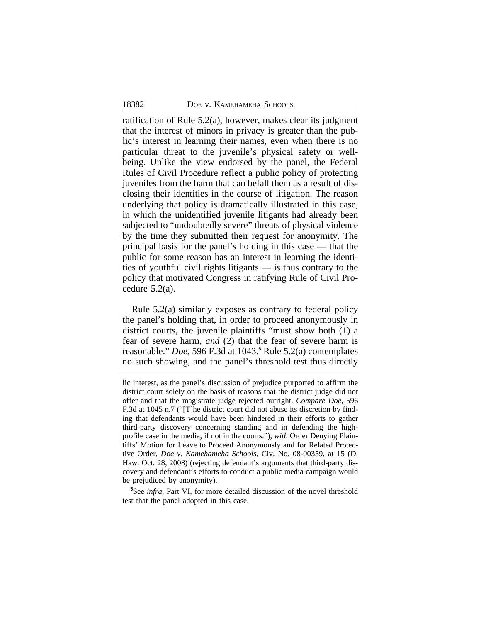ratification of Rule 5.2(a), however, makes clear its judgment that the interest of minors in privacy is greater than the public's interest in learning their names, even when there is no particular threat to the juvenile's physical safety or wellbeing. Unlike the view endorsed by the panel, the Federal Rules of Civil Procedure reflect a public policy of protecting juveniles from the harm that can befall them as a result of disclosing their identities in the course of litigation. The reason underlying that policy is dramatically illustrated in this case, in which the unidentified juvenile litigants had already been subjected to "undoubtedly severe" threats of physical violence by the time they submitted their request for anonymity. The principal basis for the panel's holding in this case — that the public for some reason has an interest in learning the identities of youthful civil rights litigants — is thus contrary to the policy that motivated Congress in ratifying Rule of Civil Procedure 5.2(a).

Rule 5.2(a) similarly exposes as contrary to federal policy the panel's holding that, in order to proceed anonymously in district courts, the juvenile plaintiffs "must show both (1) a fear of severe harm, *and* (2) that the fear of severe harm is reasonable." *Doe*, 596 F.3d at 1043.**<sup>5</sup>** Rule 5.2(a) contemplates no such showing, and the panel's threshold test thus directly

**<sup>5</sup>**See *infra*, Part VI, for more detailed discussion of the novel threshold test that the panel adopted in this case.

lic interest, as the panel's discussion of prejudice purported to affirm the district court solely on the basis of reasons that the district judge did not offer and that the magistrate judge rejected outright. *Compare Doe*, 596 F.3d at 1045 n.7 ("[T]he district court did not abuse its discretion by finding that defendants would have been hindered in their efforts to gather third-party discovery concerning standing and in defending the highprofile case in the media, if not in the courts."), *with* Order Denying Plaintiffs' Motion for Leave to Proceed Anonymously and for Related Protective Order, *Doe v. Kamehameha Schools*, Civ. No. 08-00359, at 15 (D. Haw. Oct. 28, 2008) (rejecting defendant's arguments that third-party discovery and defendant's efforts to conduct a public media campaign would be prejudiced by anonymity).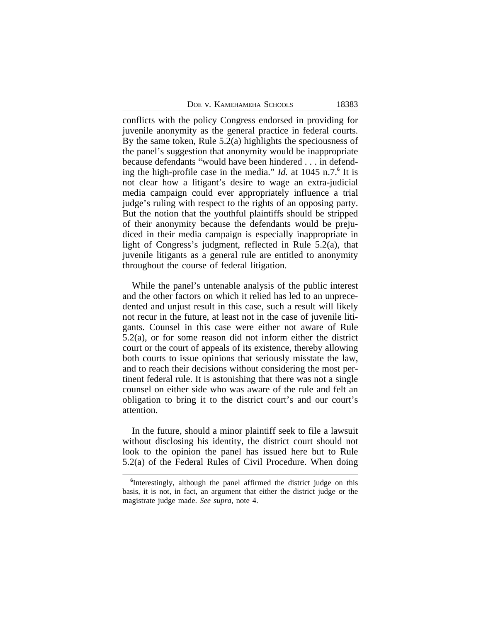|  | DOE V. KAMEHAMEHA SCHOOLS |  |
|--|---------------------------|--|
|--|---------------------------|--|

conflicts with the policy Congress endorsed in providing for juvenile anonymity as the general practice in federal courts. By the same token, Rule 5.2(a) highlights the speciousness of the panel's suggestion that anonymity would be inappropriate because defendants "would have been hindered . . . in defending the high-profile case in the media." *Id.* at 1045 n.7.<sup>6</sup> It is not clear how a litigant's desire to wage an extra-judicial media campaign could ever appropriately influence a trial judge's ruling with respect to the rights of an opposing party. But the notion that the youthful plaintiffs should be stripped of their anonymity because the defendants would be prejudiced in their media campaign is especially inappropriate in light of Congress's judgment, reflected in Rule 5.2(a), that juvenile litigants as a general rule are entitled to anonymity throughout the course of federal litigation.

While the panel's untenable analysis of the public interest and the other factors on which it relied has led to an unprecedented and unjust result in this case, such a result will likely not recur in the future, at least not in the case of juvenile litigants. Counsel in this case were either not aware of Rule 5.2(a), or for some reason did not inform either the district court or the court of appeals of its existence, thereby allowing both courts to issue opinions that seriously misstate the law, and to reach their decisions without considering the most pertinent federal rule. It is astonishing that there was not a single counsel on either side who was aware of the rule and felt an obligation to bring it to the district court's and our court's attention.

In the future, should a minor plaintiff seek to file a lawsuit without disclosing his identity, the district court should not look to the opinion the panel has issued here but to Rule 5.2(a) of the Federal Rules of Civil Procedure. When doing

<sup>&</sup>lt;sup>6</sup>Interestingly, although the panel affirmed the district judge on this basis, it is not, in fact, an argument that either the district judge or the magistrate judge made. *See supra*, note 4.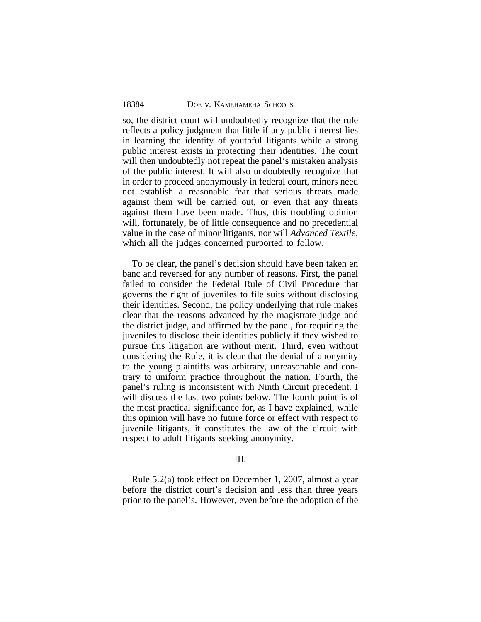so, the district court will undoubtedly recognize that the rule reflects a policy judgment that little if any public interest lies in learning the identity of youthful litigants while a strong public interest exists in protecting their identities. The court will then undoubtedly not repeat the panel's mistaken analysis of the public interest. It will also undoubtedly recognize that in order to proceed anonymously in federal court, minors need not establish a reasonable fear that serious threats made against them will be carried out, or even that any threats against them have been made. Thus, this troubling opinion will, fortunately, be of little consequence and no precedential value in the case of minor litigants, nor will *Advanced Textile*, which all the judges concerned purported to follow.

To be clear, the panel's decision should have been taken en banc and reversed for any number of reasons. First, the panel failed to consider the Federal Rule of Civil Procedure that governs the right of juveniles to file suits without disclosing their identities. Second, the policy underlying that rule makes clear that the reasons advanced by the magistrate judge and the district judge, and affirmed by the panel, for requiring the juveniles to disclose their identities publicly if they wished to pursue this litigation are without merit. Third, even without considering the Rule, it is clear that the denial of anonymity to the young plaintiffs was arbitrary, unreasonable and contrary to uniform practice throughout the nation. Fourth, the panel's ruling is inconsistent with Ninth Circuit precedent. I will discuss the last two points below. The fourth point is of the most practical significance for, as I have explained, while this opinion will have no future force or effect with respect to juvenile litigants, it constitutes the law of the circuit with respect to adult litigants seeking anonymity.

#### III.

Rule 5.2(a) took effect on December 1, 2007, almost a year before the district court's decision and less than three years prior to the panel's. However, even before the adoption of the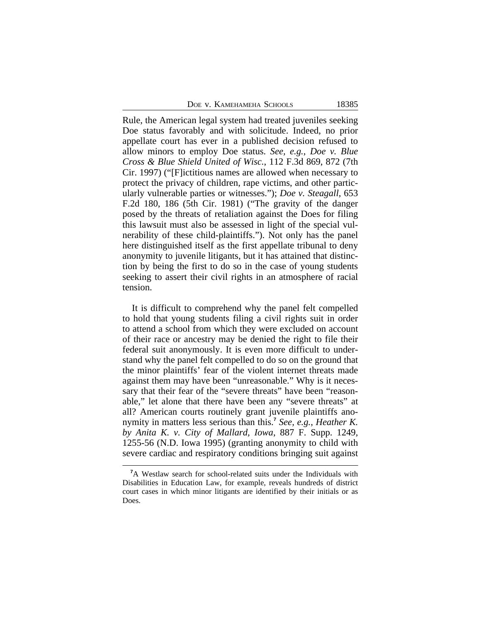DOE V. KAMEHAMEHA SCHOOLS 18385

Rule, the American legal system had treated juveniles seeking Doe status favorably and with solicitude. Indeed, no prior appellate court has ever in a published decision refused to allow minors to employ Doe status. *See, e.g.*, *Doe v. Blue Cross & Blue Shield United of Wisc.*, 112 F.3d 869, 872 (7th Cir. 1997) ("[F]ictitious names are allowed when necessary to protect the privacy of children, rape victims, and other particularly vulnerable parties or witnesses."); *Doe v. Steagall*, 653 F.2d 180, 186 (5th Cir. 1981) ("The gravity of the danger posed by the threats of retaliation against the Does for filing this lawsuit must also be assessed in light of the special vulnerability of these child-plaintiffs."). Not only has the panel here distinguished itself as the first appellate tribunal to deny anonymity to juvenile litigants, but it has attained that distinction by being the first to do so in the case of young students seeking to assert their civil rights in an atmosphere of racial tension.

It is difficult to comprehend why the panel felt compelled to hold that young students filing a civil rights suit in order to attend a school from which they were excluded on account of their race or ancestry may be denied the right to file their federal suit anonymously. It is even more difficult to understand why the panel felt compelled to do so on the ground that the minor plaintiffs' fear of the violent internet threats made against them may have been "unreasonable." Why is it necessary that their fear of the "severe threats" have been "reasonable," let alone that there have been any "severe threats" at all? American courts routinely grant juvenile plaintiffs anonymity in matters less serious than this.**<sup>7</sup>** *See, e.g.*, *Heather K. by Anita K. v. City of Mallard, Iowa*, 887 F. Supp. 1249, 1255-56 (N.D. Iowa 1995) (granting anonymity to child with severe cardiac and respiratory conditions bringing suit against

**<sup>7</sup>**A Westlaw search for school-related suits under the Individuals with Disabilities in Education Law, for example, reveals hundreds of district court cases in which minor litigants are identified by their initials or as Does.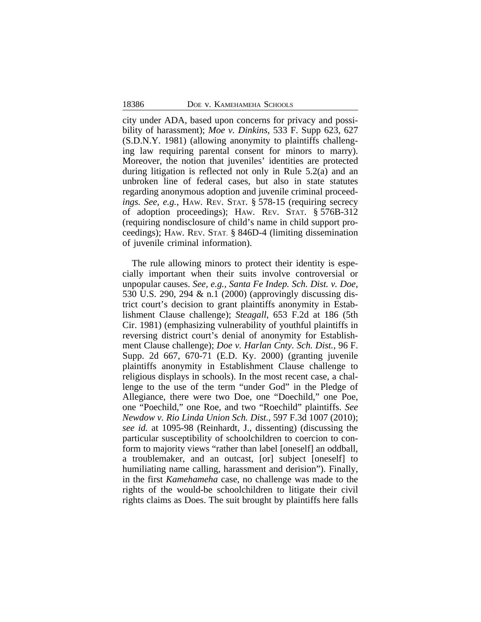city under ADA, based upon concerns for privacy and possibility of harassment); *Moe v. Dinkins*, 533 F. Supp 623, 627 (S.D.N.Y. 1981) (allowing anonymity to plaintiffs challenging law requiring parental consent for minors to marry). Moreover, the notion that juveniles' identities are protected during litigation is reflected not only in Rule 5.2(a) and an unbroken line of federal cases, but also in state statutes regarding anonymous adoption and juvenile criminal proceed*ings. See, e.g.*, HAW. REV. STAT. § 578-15 (requiring secrecy of adoption proceedings); HAW. REV. STAT. § 576B-312 (requiring nondisclosure of child's name in child support proceedings); HAW. REV. STAT. § 846D-4 (limiting dissemination of juvenile criminal information).

The rule allowing minors to protect their identity is especially important when their suits involve controversial or unpopular causes. *See, e.g., Santa Fe Indep. Sch. Dist. v. Doe*, 530 U.S. 290, 294 & n.1 (2000) (approvingly discussing district court's decision to grant plaintiffs anonymity in Establishment Clause challenge); *Steagall*, 653 F.2d at 186 (5th Cir. 1981) (emphasizing vulnerability of youthful plaintiffs in reversing district court's denial of anonymity for Establishment Clause challenge); *Doe v. Harlan Cnty. Sch. Dist.*, 96 F. Supp. 2d 667, 670-71 (E.D. Ky. 2000) (granting juvenile plaintiffs anonymity in Establishment Clause challenge to religious displays in schools). In the most recent case, a challenge to the use of the term "under God" in the Pledge of Allegiance, there were two Doe, one "Doechild," one Poe, one "Poechild," one Roe, and two "Roechild" plaintiffs. *See Newdow v. Rio Linda Union Sch. Dist.*, 597 F.3d 1007 (2010); *see id.* at 1095-98 (Reinhardt, J., dissenting) (discussing the particular susceptibility of schoolchildren to coercion to conform to majority views "rather than label [oneself] an oddball, a troublemaker, and an outcast, [or] subject [oneself] to humiliating name calling, harassment and derision"). Finally, in the first *Kamehameha* case, no challenge was made to the rights of the would-be schoolchildren to litigate their civil rights claims as Does. The suit brought by plaintiffs here falls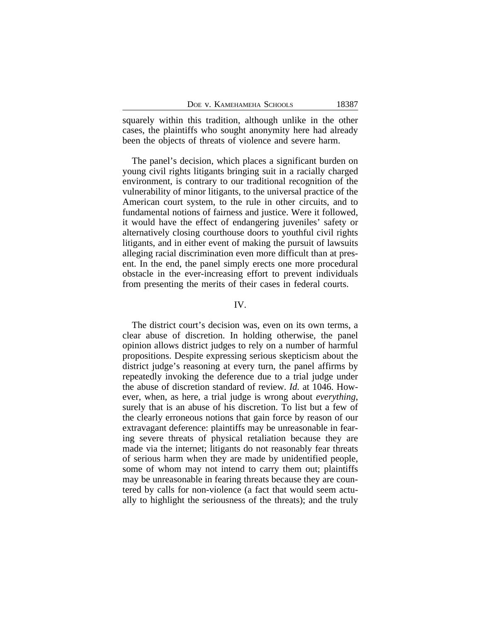squarely within this tradition, although unlike in the other cases, the plaintiffs who sought anonymity here had already been the objects of threats of violence and severe harm.

The panel's decision, which places a significant burden on young civil rights litigants bringing suit in a racially charged environment, is contrary to our traditional recognition of the vulnerability of minor litigants, to the universal practice of the American court system, to the rule in other circuits, and to fundamental notions of fairness and justice. Were it followed, it would have the effect of endangering juveniles' safety or alternatively closing courthouse doors to youthful civil rights litigants, and in either event of making the pursuit of lawsuits alleging racial discrimination even more difficult than at present. In the end, the panel simply erects one more procedural obstacle in the ever-increasing effort to prevent individuals from presenting the merits of their cases in federal courts.

#### IV.

The district court's decision was, even on its own terms, a clear abuse of discretion. In holding otherwise, the panel opinion allows district judges to rely on a number of harmful propositions. Despite expressing serious skepticism about the district judge's reasoning at every turn, the panel affirms by repeatedly invoking the deference due to a trial judge under the abuse of discretion standard of review. *Id.* at 1046. However, when, as here, a trial judge is wrong about *everything*, surely that is an abuse of his discretion. To list but a few of the clearly erroneous notions that gain force by reason of our extravagant deference: plaintiffs may be unreasonable in fearing severe threats of physical retaliation because they are made via the internet; litigants do not reasonably fear threats of serious harm when they are made by unidentified people, some of whom may not intend to carry them out; plaintiffs may be unreasonable in fearing threats because they are countered by calls for non-violence (a fact that would seem actually to highlight the seriousness of the threats); and the truly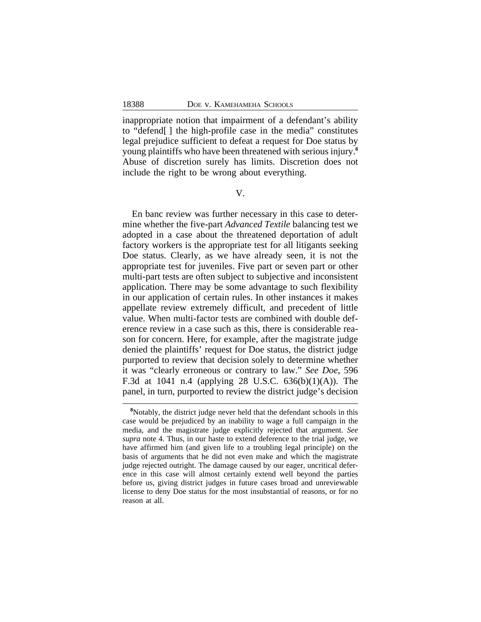inappropriate notion that impairment of a defendant's ability to "defend[ ] the high-profile case in the media" constitutes legal prejudice sufficient to defeat a request for Doe status by young plaintiffs who have been threatened with serious injury.**<sup>8</sup>** Abuse of discretion surely has limits. Discretion does not include the right to be wrong about everything.

V.

En banc review was further necessary in this case to determine whether the five-part *Advanced Textile* balancing test we adopted in a case about the threatened deportation of adult factory workers is the appropriate test for all litigants seeking Doe status. Clearly, as we have already seen, it is not the appropriate test for juveniles. Five part or seven part or other multi-part tests are often subject to subjective and inconsistent application. There may be some advantage to such flexibility in our application of certain rules. In other instances it makes appellate review extremely difficult, and precedent of little value. When multi-factor tests are combined with double deference review in a case such as this, there is considerable reason for concern. Here, for example, after the magistrate judge denied the plaintiffs' request for Doe status, the district judge purported to review that decision solely to determine whether it was "clearly erroneous or contrary to law." *See Doe*, 596 F.3d at 1041 n.4 (applying 28 U.S.C. 636(b)(1)(A)). The panel, in turn, purported to review the district judge's decision

**<sup>8</sup>**Notably, the district judge never held that the defendant schools in this case would be prejudiced by an inability to wage a full campaign in the media, and the magistrate judge explicitly rejected that argument. *See supra* note 4. Thus, in our haste to extend deference to the trial judge, we have affirmed him (and given life to a troubling legal principle) on the basis of arguments that he did not even make and which the magistrate judge rejected outright. The damage caused by our eager, uncritical deference in this case will almost certainly extend well beyond the parties before us, giving district judges in future cases broad and unreviewable license to deny Doe status for the most insubstantial of reasons, or for no reason at all.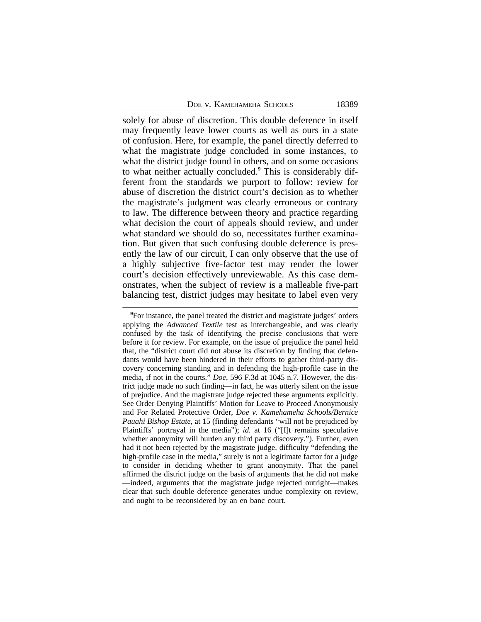|  | DOE V. KAMEHAMEHA SCHOOLS |  |
|--|---------------------------|--|
|--|---------------------------|--|

solely for abuse of discretion. This double deference in itself may frequently leave lower courts as well as ours in a state of confusion. Here, for example, the panel directly deferred to what the magistrate judge concluded in some instances, to what the district judge found in others, and on some occasions to what neither actually concluded.**<sup>9</sup>** This is considerably different from the standards we purport to follow: review for abuse of discretion the district court's decision as to whether the magistrate's judgment was clearly erroneous or contrary to law. The difference between theory and practice regarding what decision the court of appeals should review, and under what standard we should do so, necessitates further examination. But given that such confusing double deference is presently the law of our circuit, I can only observe that the use of a highly subjective five-factor test may render the lower court's decision effectively unreviewable. As this case demonstrates, when the subject of review is a malleable five-part balancing test, district judges may hesitate to label even very

**<sup>9</sup>**For instance, the panel treated the district and magistrate judges' orders applying the *Advanced Textile* test as interchangeable, and was clearly confused by the task of identifying the precise conclusions that were before it for review. For example, on the issue of prejudice the panel held that, the "district court did not abuse its discretion by finding that defendants would have been hindered in their efforts to gather third-party discovery concerning standing and in defending the high-profile case in the media, if not in the courts." *Doe*, 596 F.3d at 1045 n.7. However, the district judge made no such finding—in fact, he was utterly silent on the issue of prejudice. And the magistrate judge rejected these arguments explicitly. See Order Denying Plaintiffs' Motion for Leave to Proceed Anonymously and For Related Protective Order, *Doe v. Kamehameha Schools/Bernice Pauahi Bishop Estate*, at 15 (finding defendants "will not be prejudiced by Plaintiffs' portrayal in the media"); *id.* at 16 ("[I]t remains speculative whether anonymity will burden any third party discovery."). Further, even had it not been rejected by the magistrate judge, difficulty "defending the high-profile case in the media," surely is not a legitimate factor for a judge to consider in deciding whether to grant anonymity. That the panel affirmed the district judge on the basis of arguments that he did not make —indeed, arguments that the magistrate judge rejected outright—makes clear that such double deference generates undue complexity on review, and ought to be reconsidered by an en banc court.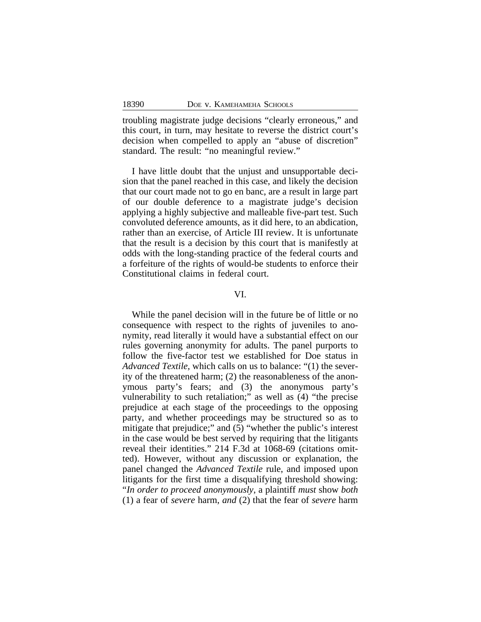troubling magistrate judge decisions "clearly erroneous," and this court, in turn, may hesitate to reverse the district court's decision when compelled to apply an "abuse of discretion" standard. The result: "no meaningful review."

I have little doubt that the unjust and unsupportable decision that the panel reached in this case, and likely the decision that our court made not to go en banc, are a result in large part of our double deference to a magistrate judge's decision applying a highly subjective and malleable five-part test. Such convoluted deference amounts, as it did here, to an abdication, rather than an exercise, of Article III review. It is unfortunate that the result is a decision by this court that is manifestly at odds with the long-standing practice of the federal courts and a forfeiture of the rights of would-be students to enforce their Constitutional claims in federal court.

## VI.

While the panel decision will in the future be of little or no consequence with respect to the rights of juveniles to anonymity, read literally it would have a substantial effect on our rules governing anonymity for adults. The panel purports to follow the five-factor test we established for Doe status in *Advanced Textile*, which calls on us to balance: "(1) the severity of the threatened harm; (2) the reasonableness of the anonymous party's fears; and (3) the anonymous party's vulnerability to such retaliation;" as well as (4) "the precise prejudice at each stage of the proceedings to the opposing party, and whether proceedings may be structured so as to mitigate that prejudice;" and (5) "whether the public's interest in the case would be best served by requiring that the litigants reveal their identities." 214 F.3d at 1068-69 (citations omitted). However, without any discussion or explanation, the panel changed the *Advanced Textile* rule, and imposed upon litigants for the first time a disqualifying threshold showing: "*In order to proceed anonymously*, a plaintiff *must* show *both* (1) a fear of *severe* harm, *and* (2) that the fear of *severe* harm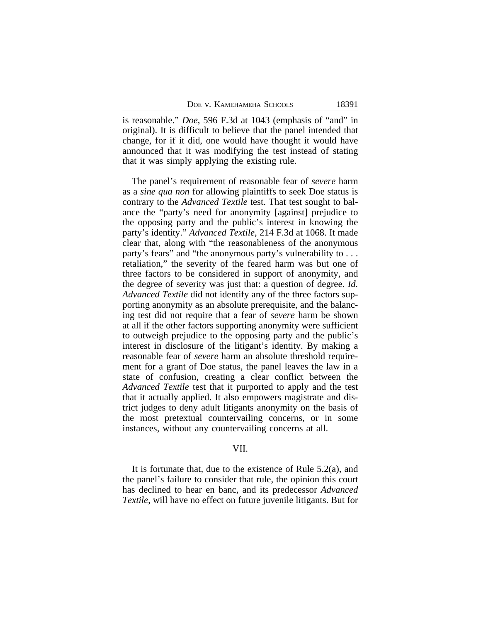is reasonable." *Doe*, 596 F.3d at 1043 (emphasis of "and" in original). It is difficult to believe that the panel intended that change, for if it did, one would have thought it would have announced that it was modifying the test instead of stating that it was simply applying the existing rule.

The panel's requirement of reasonable fear of *severe* harm as a *sine qua non* for allowing plaintiffs to seek Doe status is contrary to the *Advanced Textile* test. That test sought to balance the "party's need for anonymity [against] prejudice to the opposing party and the public's interest in knowing the party's identity." *Advanced Textile*, 214 F.3d at 1068. It made clear that, along with "the reasonableness of the anonymous party's fears" and "the anonymous party's vulnerability to . . . retaliation," the severity of the feared harm was but one of three factors to be considered in support of anonymity, and the degree of severity was just that: a question of degree. *Id. Advanced Textile* did not identify any of the three factors supporting anonymity as an absolute prerequisite, and the balancing test did not require that a fear of *severe* harm be shown at all if the other factors supporting anonymity were sufficient to outweigh prejudice to the opposing party and the public's interest in disclosure of the litigant's identity. By making a reasonable fear of *severe* harm an absolute threshold requirement for a grant of Doe status, the panel leaves the law in a state of confusion, creating a clear conflict between the *Advanced Textile* test that it purported to apply and the test that it actually applied. It also empowers magistrate and district judges to deny adult litigants anonymity on the basis of the most pretextual countervailing concerns, or in some instances, without any countervailing concerns at all.

## VII.

It is fortunate that, due to the existence of Rule 5.2(a), and the panel's failure to consider that rule, the opinion this court has declined to hear en banc, and its predecessor *Advanced Textile*, will have no effect on future juvenile litigants. But for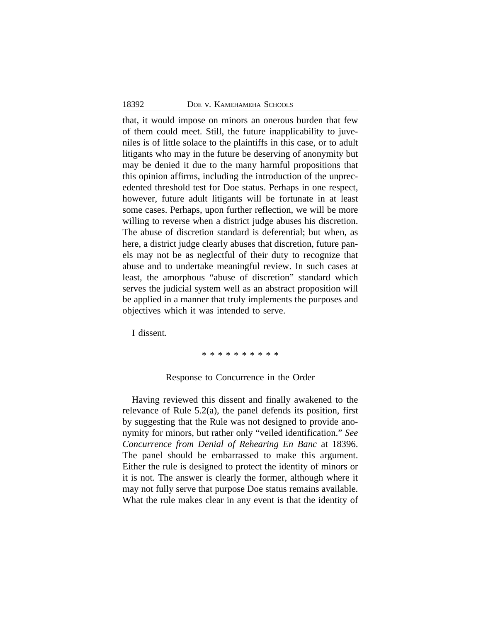that, it would impose on minors an onerous burden that few of them could meet. Still, the future inapplicability to juveniles is of little solace to the plaintiffs in this case, or to adult litigants who may in the future be deserving of anonymity but may be denied it due to the many harmful propositions that this opinion affirms, including the introduction of the unprecedented threshold test for Doe status. Perhaps in one respect, however, future adult litigants will be fortunate in at least some cases. Perhaps, upon further reflection, we will be more willing to reverse when a district judge abuses his discretion. The abuse of discretion standard is deferential; but when, as here, a district judge clearly abuses that discretion, future panels may not be as neglectful of their duty to recognize that abuse and to undertake meaningful review. In such cases at least, the amorphous "abuse of discretion" standard which serves the judicial system well as an abstract proposition will be applied in a manner that truly implements the purposes and objectives which it was intended to serve.

I dissent.

\* \* \* \* \* \* \* \* \*

#### Response to Concurrence in the Order

Having reviewed this dissent and finally awakened to the relevance of Rule 5.2(a), the panel defends its position, first by suggesting that the Rule was not designed to provide anonymity for minors, but rather only "veiled identification." *See Concurrence from Denial of Rehearing En Banc* at 18396. The panel should be embarrassed to make this argument. Either the rule is designed to protect the identity of minors or it is not. The answer is clearly the former, although where it may not fully serve that purpose Doe status remains available. What the rule makes clear in any event is that the identity of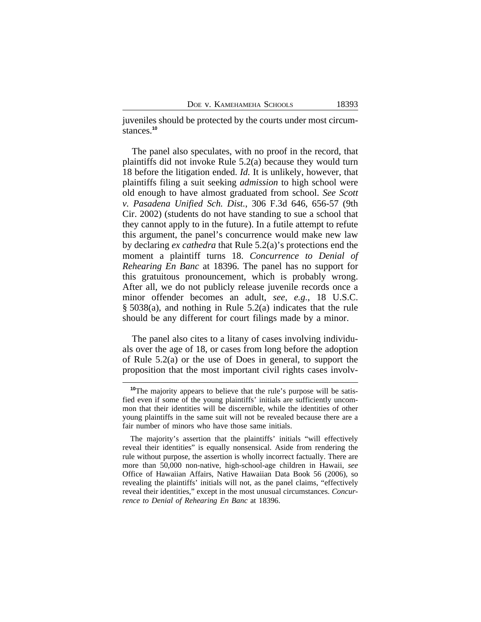juveniles should be protected by the courts under most circumstances.**<sup>10</sup>**

The panel also speculates, with no proof in the record, that plaintiffs did not invoke Rule 5.2(a) because they would turn 18 before the litigation ended. *Id.* It is unlikely, however, that plaintiffs filing a suit seeking *admission* to high school were old enough to have almost graduated from school. *See Scott v. Pasadena Unified Sch. Dist.*, 306 F.3d 646, 656-57 (9th Cir. 2002) (students do not have standing to sue a school that they cannot apply to in the future). In a futile attempt to refute this argument, the panel's concurrence would make new law by declaring *ex cathedra* that Rule 5.2(a)'s protections end the moment a plaintiff turns 18. *Concurrence to Denial of Rehearing En Banc* at 18396. The panel has no support for this gratuitous pronouncement, which is probably wrong. After all, we do not publicly release juvenile records once a minor offender becomes an adult, *see, e.g.*, 18 U.S.C. § 5038(a), and nothing in Rule 5.2(a) indicates that the rule should be any different for court filings made by a minor.

The panel also cites to a litany of cases involving individuals over the age of 18, or cases from long before the adoption of Rule 5.2(a) or the use of Does in general, to support the proposition that the most important civil rights cases involv-

**<sup>10</sup>**The majority appears to believe that the rule's purpose will be satisfied even if some of the young plaintiffs' initials are sufficiently uncommon that their identities will be discernible, while the identities of other young plaintiffs in the same suit will not be revealed because there are a fair number of minors who have those same initials.

The majority's assertion that the plaintiffs' initials "will effectively reveal their identities" is equally nonsensical. Aside from rendering the rule without purpose, the assertion is wholly incorrect factually. There are more than 50,000 non-native, high-school-age children in Hawaii, *see* Office of Hawaiian Affairs, Native Hawaiian Data Book 56 (2006), so revealing the plaintiffs' initials will not, as the panel claims, "effectively reveal their identities," except in the most unusual circumstances. *Concurrence to Denial of Rehearing En Banc* at 18396.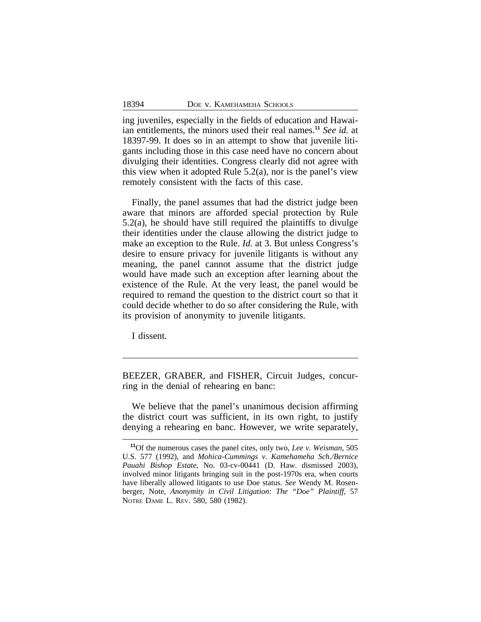ing juveniles, especially in the fields of education and Hawaiian entitlements, the minors used their real names.**<sup>11</sup>** *See id.* at 18397-99. It does so in an attempt to show that juvenile litigants including those in this case need have no concern about divulging their identities. Congress clearly did not agree with this view when it adopted Rule  $5.2(a)$ , nor is the panel's view remotely consistent with the facts of this case.

Finally, the panel assumes that had the district judge been aware that minors are afforded special protection by Rule 5.2(a), he should have still required the plaintiffs to divulge their identities under the clause allowing the district judge to make an exception to the Rule. *Id.* at 3. But unless Congress's desire to ensure privacy for juvenile litigants is without any meaning, the panel cannot assume that the district judge would have made such an exception after learning about the existence of the Rule. At the very least, the panel would be required to remand the question to the district court so that it could decide whether to do so after considering the Rule, with its provision of anonymity to juvenile litigants.

I dissent.

BEEZER, GRABER, and FISHER, Circuit Judges, concurring in the denial of rehearing en banc:

We believe that the panel's unanimous decision affirming the district court was sufficient, in its own right, to justify denying a rehearing en banc. However, we write separately,

**<sup>11</sup>**Of the numerous cases the panel cites, only two, *Lee v. Weisman*, 505 U.S. 577 (1992), and *Mohica-Cummings v. Kamehameha Sch./Bernice Pauahi Bishop Estate*, No. 03-cv-00441 (D. Haw. dismissed 2003), involved minor litigants bringing suit in the post-1970s era, when courts have liberally allowed litigants to use Doe status. *See* Wendy M. Rosenberger, Note, *Anonymity in Civil Litigation: The "Doe" Plaintiff*, 57 NOTRE DAME L. REV. 580, 580 (1982).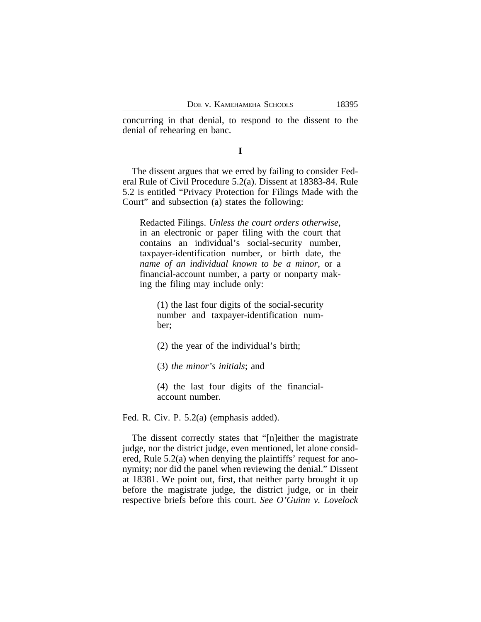concurring in that denial, to respond to the dissent to the denial of rehearing en banc.

### **I**

The dissent argues that we erred by failing to consider Federal Rule of Civil Procedure 5.2(a). Dissent at 18383-84. Rule 5.2 is entitled "Privacy Protection for Filings Made with the Court" and subsection (a) states the following:

Redacted Filings. *Unless the court orders otherwise*, in an electronic or paper filing with the court that contains an individual's social-security number, taxpayer-identification number, or birth date, the *name of an individual known to be a minor*, or a financial-account number, a party or nonparty making the filing may include only:

(1) the last four digits of the social-security number and taxpayer-identification number;

(2) the year of the individual's birth;

(3) *the minor's initials*; and

(4) the last four digits of the financialaccount number.

Fed. R. Civ. P. 5.2(a) (emphasis added).

The dissent correctly states that "[n]either the magistrate judge, nor the district judge, even mentioned, let alone considered, Rule 5.2(a) when denying the plaintiffs' request for anonymity; nor did the panel when reviewing the denial." Dissent at 18381. We point out, first, that neither party brought it up before the magistrate judge, the district judge, or in their respective briefs before this court. *See O'Guinn v. Lovelock*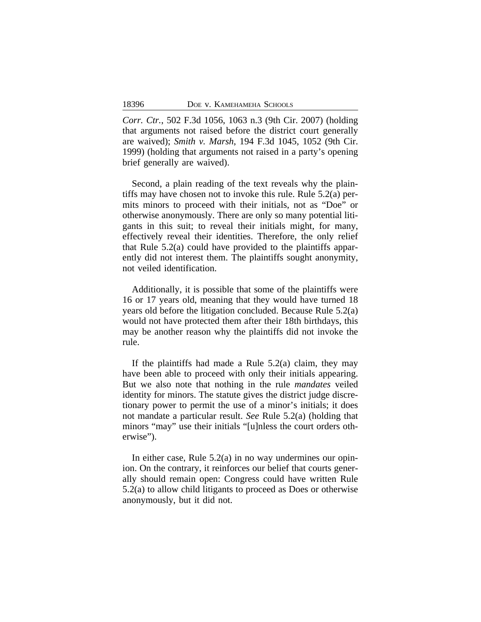*Corr. Ctr.*, 502 F.3d 1056, 1063 n.3 (9th Cir. 2007) (holding that arguments not raised before the district court generally are waived); *Smith v. Marsh*, 194 F.3d 1045, 1052 (9th Cir. 1999) (holding that arguments not raised in a party's opening brief generally are waived).

Second, a plain reading of the text reveals why the plaintiffs may have chosen not to invoke this rule. Rule 5.2(a) permits minors to proceed with their initials, not as "Doe" or otherwise anonymously. There are only so many potential litigants in this suit; to reveal their initials might, for many, effectively reveal their identities. Therefore, the only relief that Rule 5.2(a) could have provided to the plaintiffs apparently did not interest them. The plaintiffs sought anonymity, not veiled identification.

Additionally, it is possible that some of the plaintiffs were 16 or 17 years old, meaning that they would have turned 18 years old before the litigation concluded. Because Rule 5.2(a) would not have protected them after their 18th birthdays, this may be another reason why the plaintiffs did not invoke the rule.

If the plaintiffs had made a Rule  $5.2(a)$  claim, they may have been able to proceed with only their initials appearing. But we also note that nothing in the rule *mandates* veiled identity for minors. The statute gives the district judge discretionary power to permit the use of a minor's initials; it does not mandate a particular result. *See* Rule 5.2(a) (holding that minors "may" use their initials "[u]nless the court orders otherwise").

In either case, Rule 5.2(a) in no way undermines our opinion. On the contrary, it reinforces our belief that courts generally should remain open: Congress could have written Rule 5.2(a) to allow child litigants to proceed as Does or otherwise anonymously, but it did not.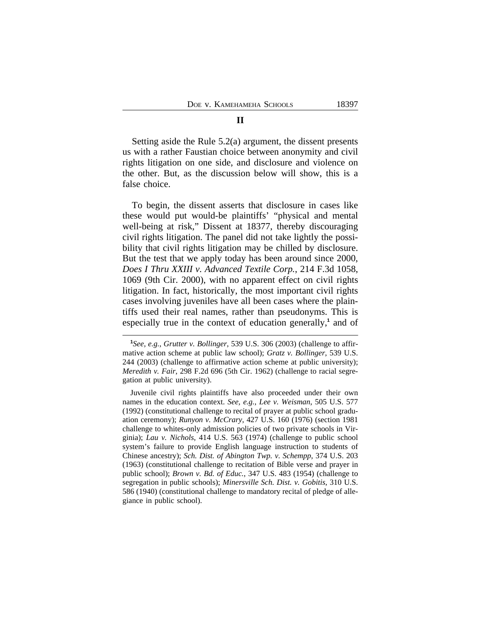Setting aside the Rule 5.2(a) argument, the dissent presents us with a rather Faustian choice between anonymity and civil rights litigation on one side, and disclosure and violence on the other. But, as the discussion below will show, this is a false choice.

To begin, the dissent asserts that disclosure in cases like these would put would-be plaintiffs' "physical and mental well-being at risk," Dissent at 18377, thereby discouraging civil rights litigation. The panel did not take lightly the possibility that civil rights litigation may be chilled by disclosure. But the test that we apply today has been around since 2000, *Does I Thru XXIII v. Advanced Textile Corp.*, 214 F.3d 1058, 1069 (9th Cir. 2000), with no apparent effect on civil rights litigation. In fact, historically, the most important civil rights cases involving juveniles have all been cases where the plaintiffs used their real names, rather than pseudonyms. This is especially true in the context of education generally,<sup>1</sup> and of

**<sup>1</sup>** *See, e.g.*, *Grutter v. Bollinger*, 539 U.S. 306 (2003) (challenge to affirmative action scheme at public law school); *Gratz v. Bollinger*, 539 U.S. 244 (2003) (challenge to affirmative action scheme at public university); *Meredith v. Fair*, 298 F.2d 696 (5th Cir. 1962) (challenge to racial segregation at public university).

Juvenile civil rights plaintiffs have also proceeded under their own names in the education context. *See, e.g.*, *Lee v. Weisman*, 505 U.S. 577 (1992) (constitutional challenge to recital of prayer at public school graduation ceremony); *Runyon v. McCrary*, 427 U.S. 160 (1976) (section 1981 challenge to whites-only admission policies of two private schools in Virginia); *Lau v. Nichols*, 414 U.S. 563 (1974) (challenge to public school system's failure to provide English language instruction to students of Chinese ancestry); *Sch. Dist. of Abington Twp. v. Schempp*, 374 U.S. 203 (1963) (constitutional challenge to recitation of Bible verse and prayer in public school); *Brown v. Bd. of Educ.*, 347 U.S. 483 (1954) (challenge to segregation in public schools); *Minersville Sch. Dist. v. Gobitis*, 310 U.S. 586 (1940) (constitutional challenge to mandatory recital of pledge of allegiance in public school).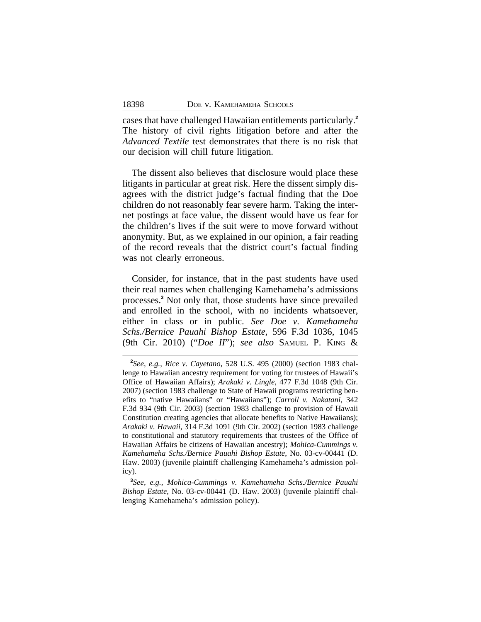cases that have challenged Hawaiian entitlements particularly.**<sup>2</sup>** The history of civil rights litigation before and after the *Advanced Textile* test demonstrates that there is no risk that our decision will chill future litigation.

The dissent also believes that disclosure would place these litigants in particular at great risk. Here the dissent simply disagrees with the district judge's factual finding that the Doe children do not reasonably fear severe harm. Taking the internet postings at face value, the dissent would have us fear for the children's lives if the suit were to move forward without anonymity. But, as we explained in our opinion, a fair reading of the record reveals that the district court's factual finding was not clearly erroneous.

Consider, for instance, that in the past students have used their real names when challenging Kamehameha's admissions processes.**<sup>3</sup>** Not only that, those students have since prevailed and enrolled in the school, with no incidents whatsoever, either in class or in public. *See Doe v. Kamehameha Schs./Bernice Pauahi Bishop Estate*, 596 F.3d 1036, 1045 (9th Cir. 2010) ("*Doe II*"); *see also* SAMUEL P. KING &

**<sup>2</sup>** *See, e.g.*, *Rice v. Cayetano*, 528 U.S. 495 (2000) (section 1983 challenge to Hawaiian ancestry requirement for voting for trustees of Hawaii's Office of Hawaiian Affairs); *Arakaki v. Lingle*, 477 F.3d 1048 (9th Cir. 2007) (section 1983 challenge to State of Hawaii programs restricting benefits to "native Hawaiians" or "Hawaiians"); *Carroll v. Nakatani*, 342 F.3d 934 (9th Cir. 2003) (section 1983 challenge to provision of Hawaii Constitution creating agencies that allocate benefits to Native Hawaiians); *Arakaki v. Hawaii*, 314 F.3d 1091 (9th Cir. 2002) (section 1983 challenge to constitutional and statutory requirements that trustees of the Office of Hawaiian Affairs be citizens of Hawaiian ancestry); *Mohica-Cummings v. Kamehameha Schs./Bernice Pauahi Bishop Estate*, No. 03-cv-00441 (D. Haw. 2003) (juvenile plaintiff challenging Kamehameha's admission policy).

**<sup>3</sup>** *See, e.g.*, *Mohica-Cummings v. Kamehameha Schs./Bernice Pauahi Bishop Estate*, No. 03-cv-00441 (D. Haw. 2003) (juvenile plaintiff challenging Kamehameha's admission policy).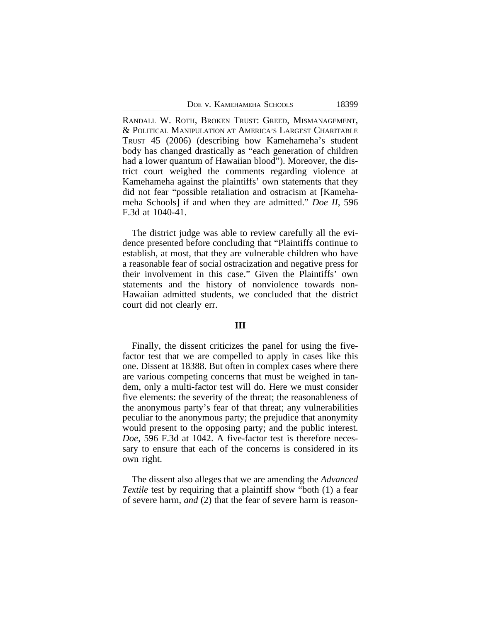| 18399<br>DOE V. KAMEHAMEHA SCHOOLS |  |
|------------------------------------|--|
|------------------------------------|--|

RANDALL W. ROTH, BROKEN TRUST: GREED, MISMANAGEMENT, & POLITICAL MANIPULATION AT AMERICA'S LARGEST CHARITABLE TRUST 45 (2006) (describing how Kamehameha's student body has changed drastically as "each generation of children had a lower quantum of Hawaiian blood"). Moreover, the district court weighed the comments regarding violence at Kamehameha against the plaintiffs' own statements that they did not fear "possible retaliation and ostracism at [Kamehameha Schools] if and when they are admitted." *Doe II*, 596 F.3d at 1040-41.

The district judge was able to review carefully all the evidence presented before concluding that "Plaintiffs continue to establish, at most, that they are vulnerable children who have a reasonable fear of social ostracization and negative press for their involvement in this case." Given the Plaintiffs' own statements and the history of nonviolence towards non-Hawaiian admitted students, we concluded that the district court did not clearly err.

#### **III**

Finally, the dissent criticizes the panel for using the fivefactor test that we are compelled to apply in cases like this one. Dissent at 18388. But often in complex cases where there are various competing concerns that must be weighed in tandem, only a multi-factor test will do. Here we must consider five elements: the severity of the threat; the reasonableness of the anonymous party's fear of that threat; any vulnerabilities peculiar to the anonymous party; the prejudice that anonymity would present to the opposing party; and the public interest. *Doe*, 596 F.3d at 1042. A five-factor test is therefore necessary to ensure that each of the concerns is considered in its own right.

The dissent also alleges that we are amending the *Advanced Textile* test by requiring that a plaintiff show "both (1) a fear of severe harm, *and* (2) that the fear of severe harm is reason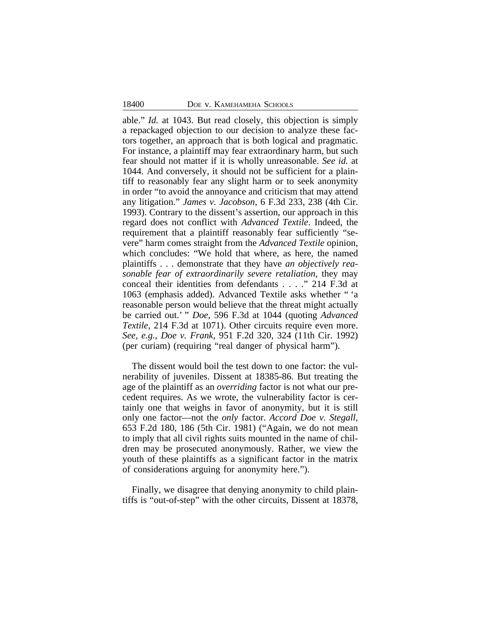able." *Id.* at 1043. But read closely, this objection is simply a repackaged objection to our decision to analyze these factors together, an approach that is both logical and pragmatic. For instance, a plaintiff may fear extraordinary harm, but such fear should not matter if it is wholly unreasonable. *See id.* at 1044. And conversely, it should not be sufficient for a plaintiff to reasonably fear any slight harm or to seek anonymity in order "to avoid the annoyance and criticism that may attend any litigation." *James v. Jacobson*, 6 F.3d 233, 238 (4th Cir. 1993). Contrary to the dissent's assertion, our approach in this regard does not conflict with *Advanced Textile*. Indeed, the requirement that a plaintiff reasonably fear sufficiently "severe" harm comes straight from the *Advanced Textile* opinion, which concludes: "We hold that where, as here, the named plaintiffs . . . demonstrate that they have *an objectively reasonable fear of extraordinarily severe retaliation*, they may conceal their identities from defendants . . . ." 214 F.3d at 1063 (emphasis added). Advanced Textile asks whether " 'a reasonable person would believe that the threat might actually be carried out.' " *Doe*, 596 F.3d at 1044 (quoting *Advanced Textile*, 214 F.3d at 1071). Other circuits require even more. *See, e.g.*, *Doe v. Frank*, 951 F.2d 320, 324 (11th Cir. 1992) (per curiam) (requiring "real danger of physical harm").

The dissent would boil the test down to one factor: the vulnerability of juveniles. Dissent at 18385-86. But treating the age of the plaintiff as an *overriding* factor is not what our precedent requires. As we wrote, the vulnerability factor is certainly one that weighs in favor of anonymity, but it is still only one factor—not the *only* factor. *Accord Doe v. Stegall*, 653 F.2d 180, 186 (5th Cir. 1981) ("Again, we do not mean to imply that all civil rights suits mounted in the name of children may be prosecuted anonymously. Rather, we view the youth of these plaintiffs as a significant factor in the matrix of considerations arguing for anonymity here.").

Finally, we disagree that denying anonymity to child plaintiffs is "out-of-step" with the other circuits, Dissent at 18378,